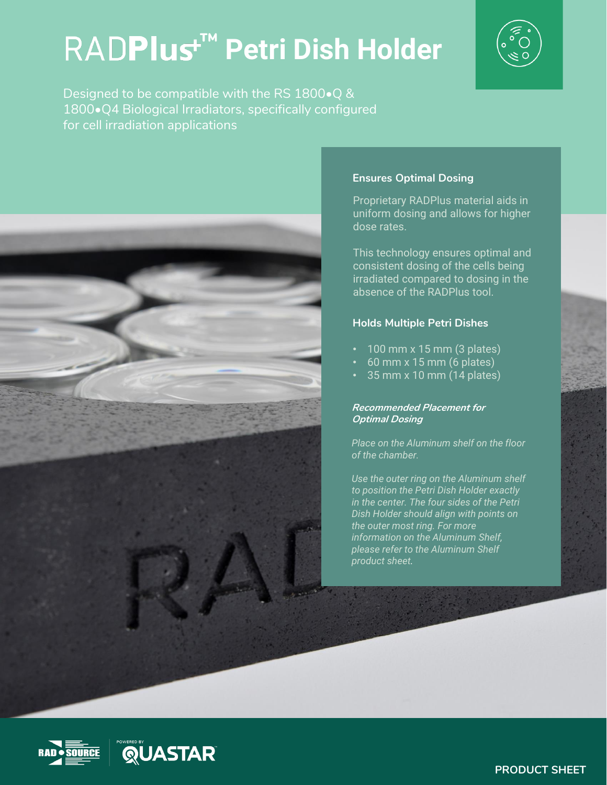# **Petri Dish Holder ™**



Designed to be compatible with the RS 1800•Q & 1800•Q4 Biological Irradiators, specifically configured for cell irradiation applications



#### **Ensures Optimal Dosing**

Proprietary RADPlus material aids in uniform dosing and allows for higher dose rates.

This technology ensures optimal and consistent dosing of the cells being irradiated compared to dosing in the absence of the RADPlus tool.

#### **Holds Multiple Petri Dishes**

- $\cdot$  100 mm x 15 mm (3 plates)
- 60 mm x 15 mm (6 plates)
- 35 mm x 10 mm (14 plates)

#### **Recommended Placement for Optimal Dosing**

*Place on the Aluminum shelf on the floor of the chamber.*

*Use the outer ring on the Aluminum shelf to position the Petri Dish Holder exactly in the center. The four sides of the Petri Dish Holder should align with points on the outer most ring. For more information on the Aluminum Shelf, please refer to the Aluminum Shelf product sheet.*





Research for Tissue and Cell Research **PRODUCT SHEET**